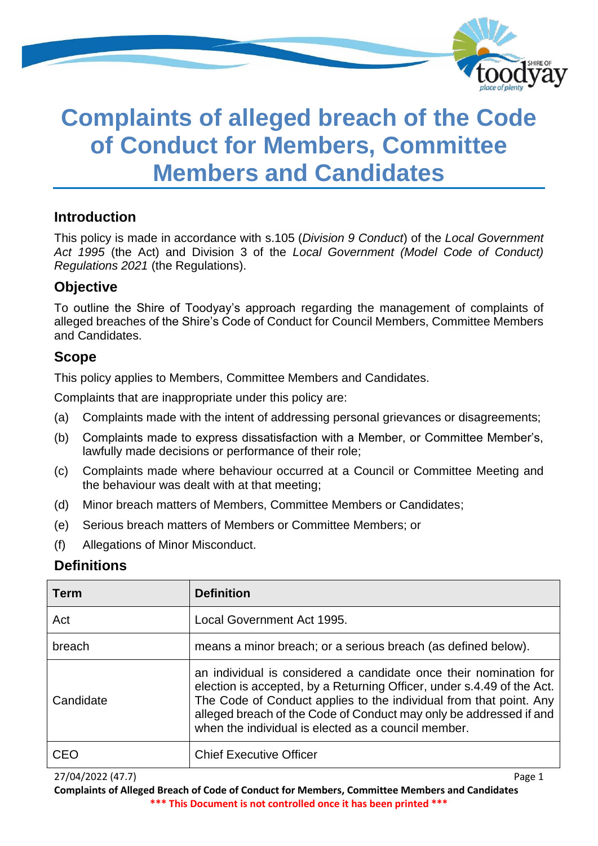

# **Complaints of alleged breach of the Code of Conduct for Members, Committee Members and Candidates**

## **Introduction**

This policy is made in accordance with s.105 (*Division 9 Conduct*) of the *Local Government Act 1995* (the Act) and Division 3 of the *Local Government (Model Code of Conduct) Regulations 2021* (the Regulations).

## **Objective**

To outline the Shire of Toodyay's approach regarding the management of complaints of alleged breaches of the Shire's Code of Conduct for Council Members, Committee Members and Candidates.

## **Scope**

This policy applies to Members, Committee Members and Candidates.

Complaints that are inappropriate under this policy are:

- (a) Complaints made with the intent of addressing personal grievances or disagreements;
- (b) Complaints made to express dissatisfaction with a Member, or Committee Member's, lawfully made decisions or performance of their role;
- (c) Complaints made where behaviour occurred at a Council or Committee Meeting and the behaviour was dealt with at that meeting;
- (d) Minor breach matters of Members, Committee Members or Candidates;
- (e) Serious breach matters of Members or Committee Members; or
- (f) Allegations of Minor Misconduct.

### **Definitions**

| <b>Term</b> | <b>Definition</b>                                                                                                                                                                                                                                                                                                                              |
|-------------|------------------------------------------------------------------------------------------------------------------------------------------------------------------------------------------------------------------------------------------------------------------------------------------------------------------------------------------------|
| Act         | Local Government Act 1995.                                                                                                                                                                                                                                                                                                                     |
| breach      | means a minor breach; or a serious breach (as defined below).                                                                                                                                                                                                                                                                                  |
| Candidate   | an individual is considered a candidate once their nomination for<br>election is accepted, by a Returning Officer, under s.4.49 of the Act.<br>The Code of Conduct applies to the individual from that point. Any<br>alleged breach of the Code of Conduct may only be addressed if and<br>when the individual is elected as a council member. |
| CEO         | <b>Chief Executive Officer</b>                                                                                                                                                                                                                                                                                                                 |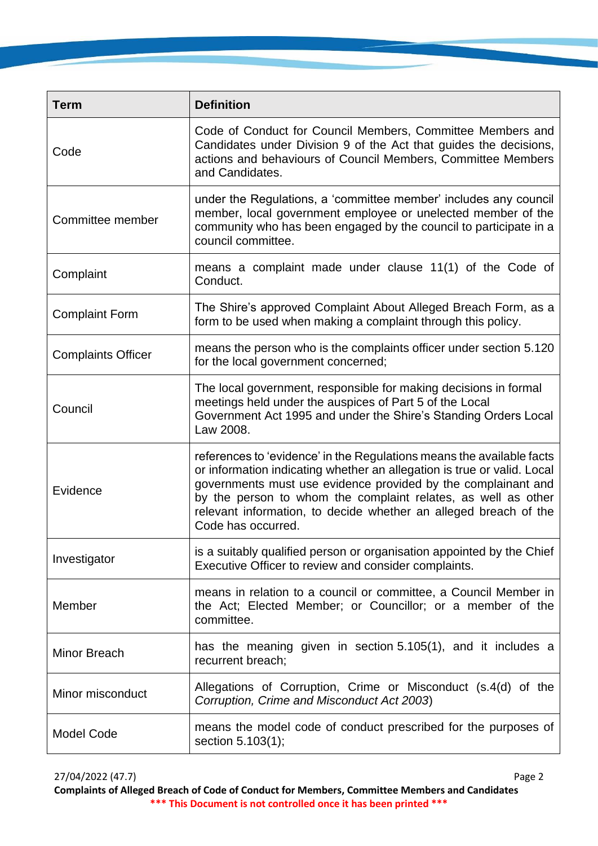| <b>Term</b>               | <b>Definition</b>                                                                                                                                                                                                                                                                                                                                                            |
|---------------------------|------------------------------------------------------------------------------------------------------------------------------------------------------------------------------------------------------------------------------------------------------------------------------------------------------------------------------------------------------------------------------|
| Code                      | Code of Conduct for Council Members, Committee Members and<br>Candidates under Division 9 of the Act that guides the decisions,<br>actions and behaviours of Council Members, Committee Members<br>and Candidates.                                                                                                                                                           |
| Committee member          | under the Regulations, a 'committee member' includes any council<br>member, local government employee or unelected member of the<br>community who has been engaged by the council to participate in a<br>council committee.                                                                                                                                                  |
| Complaint                 | means a complaint made under clause 11(1) of the Code of<br>Conduct.                                                                                                                                                                                                                                                                                                         |
| <b>Complaint Form</b>     | The Shire's approved Complaint About Alleged Breach Form, as a<br>form to be used when making a complaint through this policy.                                                                                                                                                                                                                                               |
| <b>Complaints Officer</b> | means the person who is the complaints officer under section 5.120<br>for the local government concerned;                                                                                                                                                                                                                                                                    |
| Council                   | The local government, responsible for making decisions in formal<br>meetings held under the auspices of Part 5 of the Local<br>Government Act 1995 and under the Shire's Standing Orders Local<br>Law 2008.                                                                                                                                                                  |
| Evidence                  | references to 'evidence' in the Regulations means the available facts<br>or information indicating whether an allegation is true or valid. Local<br>governments must use evidence provided by the complainant and<br>by the person to whom the complaint relates, as well as other<br>relevant information, to decide whether an alleged breach of the<br>Code has occurred. |
| Investigator              | is a suitably qualified person or organisation appointed by the Chief<br>Executive Officer to review and consider complaints.                                                                                                                                                                                                                                                |
| Member                    | means in relation to a council or committee, a Council Member in<br>the Act; Elected Member; or Councillor; or a member of the<br>committee.                                                                                                                                                                                                                                 |
| Minor Breach              | has the meaning given in section 5.105(1), and it includes a<br>recurrent breach;                                                                                                                                                                                                                                                                                            |
| Minor misconduct          | Allegations of Corruption, Crime or Misconduct (s.4(d) of the<br>Corruption, Crime and Misconduct Act 2003)                                                                                                                                                                                                                                                                  |
| <b>Model Code</b>         | means the model code of conduct prescribed for the purposes of<br>section 5.103(1);                                                                                                                                                                                                                                                                                          |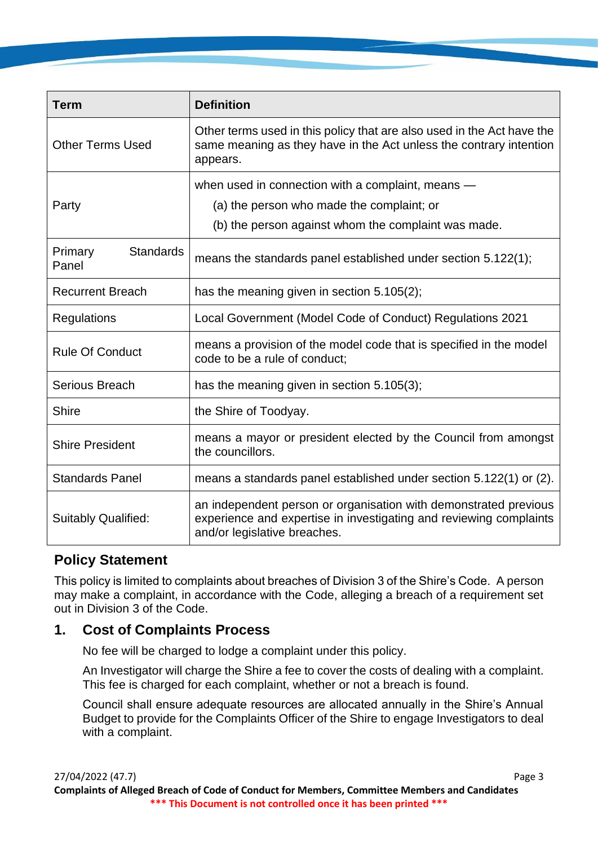| <b>Term</b>                          | <b>Definition</b>                                                                                                                                                      |
|--------------------------------------|------------------------------------------------------------------------------------------------------------------------------------------------------------------------|
| <b>Other Terms Used</b>              | Other terms used in this policy that are also used in the Act have the<br>same meaning as they have in the Act unless the contrary intention<br>appears.               |
| Party                                | when used in connection with a complaint, means -<br>(a) the person who made the complaint; or<br>(b) the person against whom the complaint was made.                  |
| <b>Standards</b><br>Primary<br>Panel | means the standards panel established under section 5.122(1);                                                                                                          |
| <b>Recurrent Breach</b>              | has the meaning given in section $5.105(2)$ ;                                                                                                                          |
| <b>Regulations</b>                   | Local Government (Model Code of Conduct) Regulations 2021                                                                                                              |
| <b>Rule Of Conduct</b>               | means a provision of the model code that is specified in the model<br>code to be a rule of conduct;                                                                    |
| Serious Breach                       | has the meaning given in section 5.105(3);                                                                                                                             |
| <b>Shire</b>                         | the Shire of Toodyay.                                                                                                                                                  |
| <b>Shire President</b>               | means a mayor or president elected by the Council from amongst<br>the councillors.                                                                                     |
| <b>Standards Panel</b>               | means a standards panel established under section 5.122(1) or (2).                                                                                                     |
| <b>Suitably Qualified:</b>           | an independent person or organisation with demonstrated previous<br>experience and expertise in investigating and reviewing complaints<br>and/or legislative breaches. |

## **Policy Statement**

This policy is limited to complaints about breaches of Division 3 of the Shire's Code. A person may make a complaint, in accordance with the Code, alleging a breach of a requirement set out in Division 3 of the Code.

## **1. Cost of Complaints Process**

No fee will be charged to lodge a complaint under this policy.

An Investigator will charge the Shire a fee to cover the costs of dealing with a complaint. This fee is charged for each complaint, whether or not a breach is found.

Council shall ensure adequate resources are allocated annually in the Shire's Annual Budget to provide for the Complaints Officer of the Shire to engage Investigators to deal with a complaint.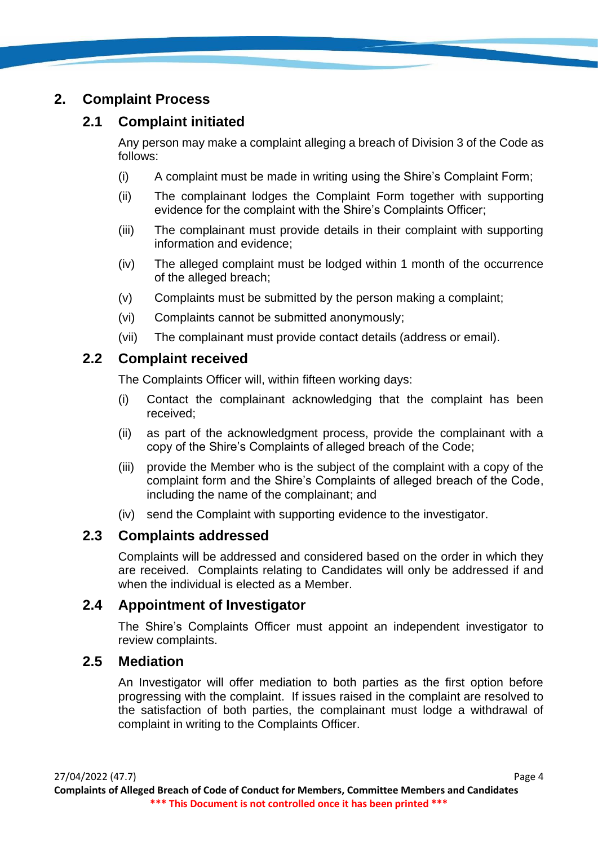## **2. Complaint Process**

## **2.1 Complaint initiated**

Any person may make a complaint alleging a breach of Division 3 of the Code as follows:

- (i) A complaint must be made in writing using the Shire's Complaint Form;
- (ii) The complainant lodges the Complaint Form together with supporting evidence for the complaint with the Shire's Complaints Officer;
- (iii) The complainant must provide details in their complaint with supporting information and evidence;
- (iv) The alleged complaint must be lodged within 1 month of the occurrence of the alleged breach;
- (v) Complaints must be submitted by the person making a complaint;
- (vi) Complaints cannot be submitted anonymously;
- (vii) The complainant must provide contact details (address or email).

## **2.2 Complaint received**

The Complaints Officer will, within fifteen working days:

- (i) Contact the complainant acknowledging that the complaint has been received;
- (ii) as part of the acknowledgment process, provide the complainant with a copy of the Shire's Complaints of alleged breach of the Code;
- (iii) provide the Member who is the subject of the complaint with a copy of the complaint form and the Shire's Complaints of alleged breach of the Code, including the name of the complainant; and
- (iv) send the Complaint with supporting evidence to the investigator.

## **2.3 Complaints addressed**

Complaints will be addressed and considered based on the order in which they are received. Complaints relating to Candidates will only be addressed if and when the individual is elected as a Member.

## **2.4 Appointment of Investigator**

The Shire's Complaints Officer must appoint an independent investigator to review complaints.

### **2.5 Mediation**

An Investigator will offer mediation to both parties as the first option before progressing with the complaint. If issues raised in the complaint are resolved to the satisfaction of both parties, the complainant must lodge a withdrawal of complaint in writing to the Complaints Officer.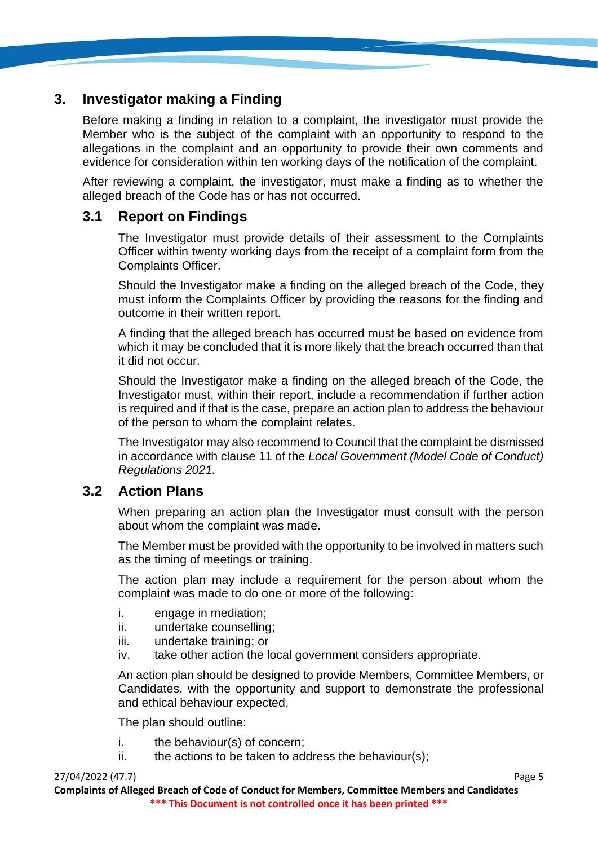## **3. Investigator making a Finding**

Before making a finding in relation to a complaint, the investigator must provide the Member who is the subject of the complaint with an opportunity to respond to the allegations in the complaint and an opportunity to provide their own comments and evidence for consideration within ten working days of the notification of the complaint.

After reviewing a complaint, the investigator, must make a finding as to whether the alleged breach of the Code has or has not occurred.

### **3.1 Report on Findings**

The Investigator must provide details of their assessment to the Complaints Officer within twenty working days from the receipt of a complaint form from the Complaints Officer.

Should the Investigator make a finding on the alleged breach of the Code, they must inform the Complaints Officer by providing the reasons for the finding and outcome in their written report.

A finding that the alleged breach has occurred must be based on evidence from which it may be concluded that it is more likely that the breach occurred than that it did not occur.

Should the Investigator make a finding on the alleged breach of the Code, the Investigator must, within their report, include a recommendation if further action is required and if that is the case, prepare an action plan to address the behaviour of the person to whom the complaint relates.

The Investigator may also recommend to Council that the complaint be dismissed in accordance with clause 11 of the *Local Government (Model Code of Conduct) Regulations 2021.* 

### **3.2 Action Plans**

When preparing an action plan the Investigator must consult with the person about whom the complaint was made.

The Member must be provided with the opportunity to be involved in matters such as the timing of meetings or training.

The action plan may include a requirement for the person about whom the complaint was made to do one or more of the following:

- i. engage in mediation;
- ii. undertake counselling;
- iii. undertake training; or
- iv. take other action the local government considers appropriate.

An action plan should be designed to provide Members, Committee Members, or Candidates, with the opportunity and support to demonstrate the professional and ethical behaviour expected.

The plan should outline:

- i. the behaviour(s) of concern;
- $ii.$  the actions to be taken to address the behaviour(s):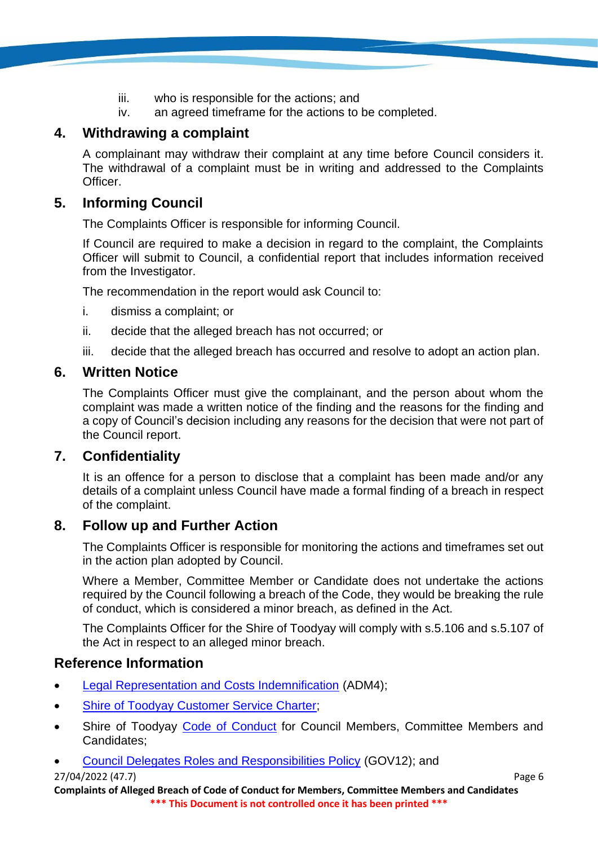- iii. who is responsible for the actions; and
- iv. an agreed timeframe for the actions to be completed.

## **4. Withdrawing a complaint**

A complainant may withdraw their complaint at any time before Council considers it. The withdrawal of a complaint must be in writing and addressed to the Complaints Officer.

## **5. Informing Council**

The Complaints Officer is responsible for informing Council.

If Council are required to make a decision in regard to the complaint, the Complaints Officer will submit to Council, a confidential report that includes information received from the Investigator.

The recommendation in the report would ask Council to:

- i. dismiss a complaint; or
- ii. decide that the alleged breach has not occurred; or
- iii. decide that the alleged breach has occurred and resolve to adopt an action plan.

### **6. Written Notice**

The Complaints Officer must give the complainant, and the person about whom the complaint was made a written notice of the finding and the reasons for the finding and a copy of Council's decision including any reasons for the decision that were not part of the Council report.

### **7. Confidentiality**

It is an offence for a person to disclose that a complaint has been made and/or any details of a complaint unless Council have made a formal finding of a breach in respect of the complaint.

### **8. Follow up and Further Action**

The Complaints Officer is responsible for monitoring the actions and timeframes set out in the action plan adopted by Council.

Where a Member, Committee Member or Candidate does not undertake the actions required by the Council following a breach of the Code, they would be breaking the rule of conduct, which is considered a minor breach, as defined in the Act.

The Complaints Officer for the Shire of Toodyay will comply with s.5.106 and s.5.107 of the Act in respect to an alleged minor breach.

## **Reference Information**

- [Legal Representation and Costs Indemnification](https://www.toodyay.wa.gov.au/documents/117/legal-representation-costs-indemnification) (ADM4);
- **Shire of Toodyay Customer Service Charter:**
- Shire of Toodyay [Code of Conduct](https://www.toodyay.wa.gov.au/documents/299/code-of-conduct-members-and-candidates) for Council Members, Committee Members and Candidates;
- [Council Delegates Roles and Responsibilities Policy](https://www.toodyay.wa.gov.au/documents/323/council-delegates-roles-and-responsibilities) (GOV12); and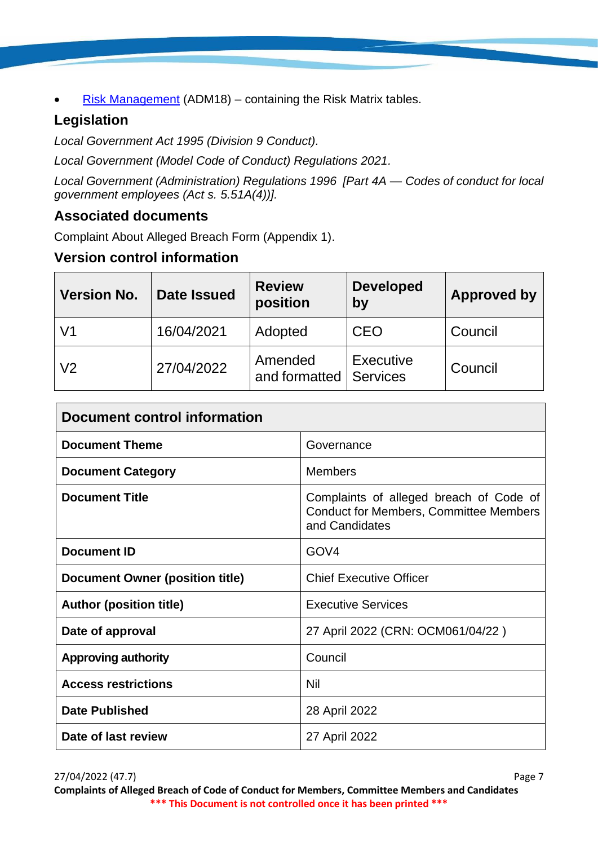[Risk Management](https://www.toodyay.wa.gov.au/documents/110/risk-management) (ADM18) – containing the Risk Matrix tables.

# **Legislation**

*Local Government Act 1995 (Division 9 Conduct).*

*Local Government (Model Code of Conduct) Regulations 2021.*

*Local Government (Administration) Regulations 1996 [Part 4A — Codes of conduct for local government employees (Act s. 5.51A(4))].*

## **Associated documents**

Complaint About Alleged Breach Form (Appendix 1).

## **Version control information**

| <b>Version No.</b> | <b>Date Issued</b> | <b>Review</b><br>position           | <b>Developed</b><br>by | <b>Approved by</b> |
|--------------------|--------------------|-------------------------------------|------------------------|--------------------|
| V1                 | 16/04/2021         | Adopted                             | <b>CEO</b>             | Council            |
| V <sub>2</sub>     | 27/04/2022         | Amended<br>and formatted   Services | <b>Executive</b>       | Council            |

| <b>Document control information</b>    |                                                                                                            |
|----------------------------------------|------------------------------------------------------------------------------------------------------------|
| <b>Document Theme</b>                  | Governance                                                                                                 |
| <b>Document Category</b>               | Members                                                                                                    |
| <b>Document Title</b>                  | Complaints of alleged breach of Code of<br><b>Conduct for Members, Committee Members</b><br>and Candidates |
| <b>Document ID</b>                     | GOV <sub>4</sub>                                                                                           |
| <b>Document Owner (position title)</b> | <b>Chief Executive Officer</b>                                                                             |
| <b>Author (position title)</b>         | <b>Executive Services</b>                                                                                  |
| Date of approval                       | 27 April 2022 (CRN: OCM061/04/22)                                                                          |
| <b>Approving authority</b>             | Council                                                                                                    |
| <b>Access restrictions</b>             | <b>Nil</b>                                                                                                 |
| <b>Date Published</b>                  | 28 April 2022                                                                                              |
| Date of last review                    | 27 April 2022                                                                                              |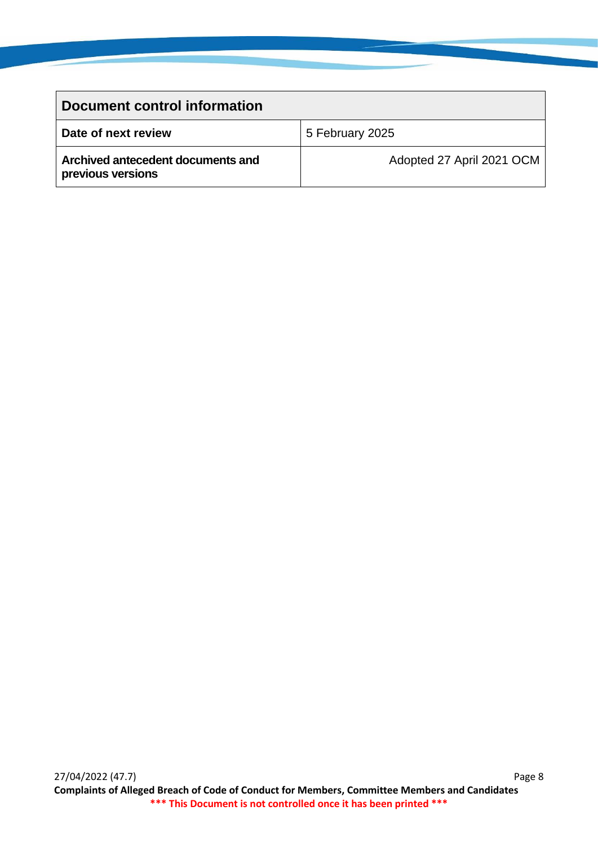| Document control information                           |                           |
|--------------------------------------------------------|---------------------------|
| Date of next review                                    | 5 February 2025           |
| Archived antecedent documents and<br>previous versions | Adopted 27 April 2021 OCM |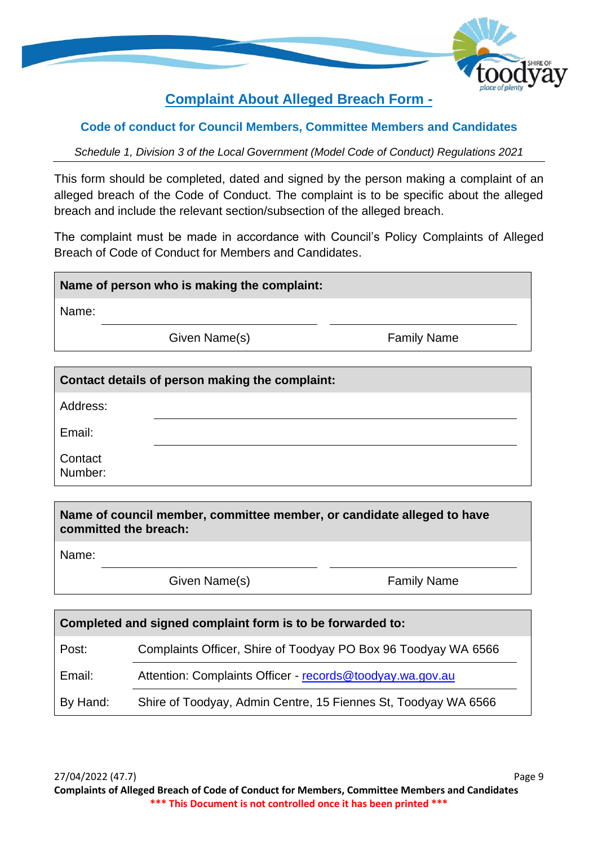

# **Complaint About Alleged Breach Form -**

#### **Code of conduct for Council Members, Committee Members and Candidates**

*Schedule 1, Division 3 of the Local Government (Model Code of Conduct) Regulations 2021*

This form should be completed, dated and signed by the person making a complaint of an alleged breach of the Code of Conduct. The complaint is to be specific about the alleged breach and include the relevant section/subsection of the alleged breach.

The complaint must be made in accordance with Council's Policy Complaints of Alleged Breach of Code of Conduct for Members and Candidates.

#### **Name of person who is making the complaint:**

Name:

Given Name(s) Family Name

| <b>Contact details of person making the complaint:</b> |  |
|--------------------------------------------------------|--|
| Address:                                               |  |
| Email:                                                 |  |
| Contact<br>Number:                                     |  |

**Name of council member, committee member, or candidate alleged to have committed the breach:**

Name:

Given Name(s) Family Name

| Completed and signed complaint form is to be forwarded to: |                                                                |  |
|------------------------------------------------------------|----------------------------------------------------------------|--|
| Post:                                                      | Complaints Officer, Shire of Toodyay PO Box 96 Toodyay WA 6566 |  |
| Email:                                                     | Attention: Complaints Officer - records@toodyay.wa.gov.au      |  |
| By Hand:                                                   | Shire of Toodyay, Admin Centre, 15 Fiennes St, Toodyay WA 6566 |  |